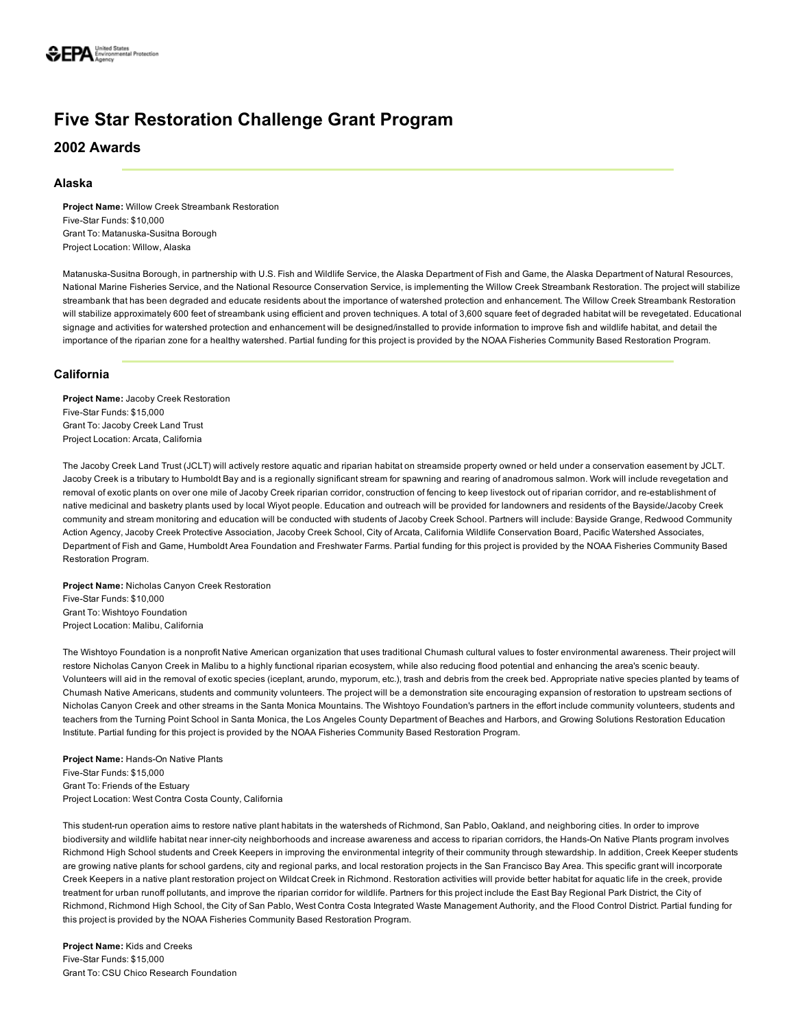# Five Star Restoration Challenge Grant Program

2002 Awards

## Alaska

Project Name: Willow Creek Streambank Restoration Five-Star Funds: \$10,000 Grant To: Matanuska-Susitna Borough Project Location: Willow, Alaska

Matanuska-Susitna Borough, in partnership with U.S. Fish and Wildlife Service, the Alaska Department of Fish and Game, the Alaska Department of Natural Resources, National Marine Fisheries Service, and the National Resource Conservation Service, is implementing the Willow Creek Streambank Restoration. The project will stabilize streambank that has been degraded and educate residents about the importance of watershed protection and enhancement. The Willow Creek Streambank Restoration will stabilize approximately 600 feet of streambank using efficient and proven techniques. A total of 3,600 square feet of degraded habitat will be revegetated. Educational signage and activities for watershed protection and enhancement will be designed/installed to provide information to improve fish and wildlife habitat, and detail the importance of the riparian zone for a healthy watershed. Partial funding for this project is provided by the NOAA Fisheries Community Based Restoration Program.

# California

Project Name: Jacoby Creek Restoration Five-Star Funds: \$15,000 Grant To: Jacoby Creek Land Trust Project Location: Arcata, California

The Jacoby Creek Land Trust (JCLT) will actively restore aquatic and riparian habitat on streamside property owned or held under a conservation easement by JCLT. Jacoby Creek is a tributary to Humboldt Bay and is a regionally significant stream for spawning and rearing of anadromous salmon. Work will include revegetation and removal of exotic plants on over one mile of Jacoby Creek riparian corridor, construction of fencing to keep livestock out of riparian corridor, and re-establishment of native medicinal and basketry plants used by local Wiyot people. Education and outreach will be provided for landowners and residents of the Bayside/Jacoby Creek community and stream monitoring and education will be conducted with students of Jacoby Creek School. Partners will include: Bayside Grange, Redwood Community Action Agency, Jacoby Creek Protective Association, Jacoby Creek School, City of Arcata, California Wildlife Conservation Board, Pacific Watershed Associates, Department of Fish and Game, Humboldt Area Foundation and Freshwater Farms. Partial funding for this project is provided by the NOAA Fisheries Community Based Restoration Program.

Project Name: Nicholas Canyon Creek Restoration Five-Star Funds: \$10,000 Grant To: Wishtoyo Foundation Project Location: Malibu, California

The Wishtoyo Foundation is a nonprofit Native American organization that uses traditional Chumash cultural values to foster environmental awareness. Their project will restore Nicholas Canyon Creek in Malibu to a highly functional riparian ecosystem, while also reducing flood potential and enhancing the area's scenic beauty. Volunteers will aid in the removal of exotic species (iceplant, arundo, myporum, etc.), trash and debris from the creek bed. Appropriate native species planted by teams of Chumash Native Americans, students and community volunteers. The project will be a demonstration site encouraging expansion of restoration to upstream sections of Nicholas Canyon Creek and other streams in the Santa Monica Mountains. The Wishtoyo Foundation's partners in the effort include community volunteers, students and teachers from the Turning Point School in Santa Monica, the Los Angeles County Department of Beaches and Harbors, and Growing Solutions Restoration Education Institute. Partial funding for this project is provided by the NOAA Fisheries Community Based Restoration Program.

Project Name: Hands-On Native Plants Five-Star Funds: \$15,000 Grant To: Friends of the Estuary Project Location: West Contra Costa County, California

This student-run operation aims to restore native plant habitats in the watersheds of Richmond, San Pablo, Oakland, and neighboring cities. In order to improve biodiversity and wildlife habitat near inner-city neighborhoods and increase awareness and access to riparian corridors, the Hands-On Native Plants program involves Richmond High School students and Creek Keepers in improving the environmental integrity of their community through stewardship. In addition, Creek Keeper students are growing native plants for school gardens, city and regional parks, and local restoration projects in the San Francisco Bay Area. This specific grant will incorporate Creek Keepers in a native plant restoration project on Wildcat Creek in Richmond. Restoration activities will provide better habitat for aquatic life in the creek, provide treatment for urban runoff pollutants, and improve the riparian corridor for wildlife. Partners for this project include the East Bay Regional Park District, the City of Richmond, Richmond High School, the City of San Pablo, West Contra Costa Integrated Waste Management Authority, and the Flood Control District. Partial funding for this project is provided by the NOAA Fisheries Community Based Restoration Program.

Project Name: Kids and Creeks Five-Star Funds: \$15,000 Grant To: CSU Chico Research Foundation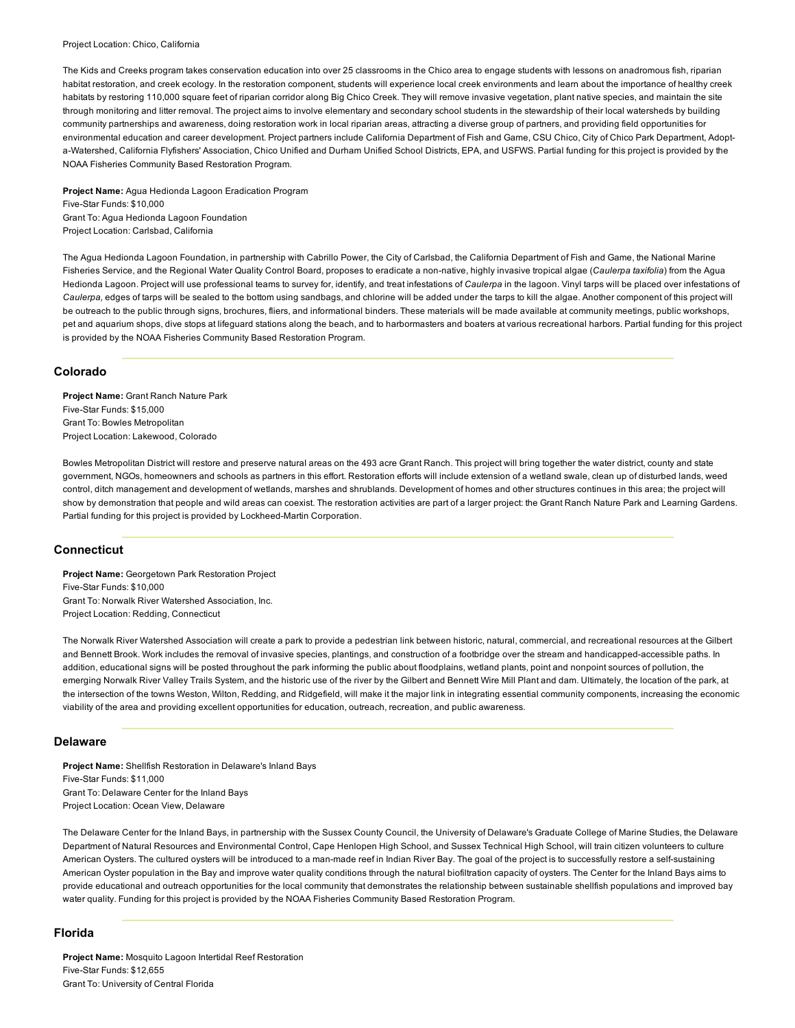#### Project Location: Chico, California

The Kids and Creeks program takes conservation education into over 25 classrooms in the Chico area to engage students with lessons on anadromous fish, riparian habitat restoration, and creek ecology. In the restoration component, students will experience local creek environments and learn about the importance of healthy creek habitats by restoring 110,000 square feet of riparian corridor along Big Chico Creek. They will remove invasive vegetation, plant native species, and maintain the site through monitoring and litter removal. The project aims to involve elementary and secondary school students in the stewardship of their local watersheds by building community partnerships and awareness, doing restoration work in local riparian areas, attracting a diverse group of partners, and providing field opportunities for environmental education and career development. Project partners include California Department of Fish and Game, CSU Chico, City of Chico Park Department, Adopta-Watershed, California Flyfishers' Association, Chico Unified and Durham Unified School Districts, EPA, and USFWS. Partial funding for this project is provided by the NOAA Fisheries Community Based Restoration Program.

Project Name: Agua Hedionda Lagoon Eradication Program Five-Star Funds: \$10,000 Grant To: Agua Hedionda Lagoon Foundation Project Location: Carlsbad, California

The Agua Hedionda Lagoon Foundation, in partnership with Cabrillo Power, the City of Carlsbad, the California Department of Fish and Game, the National Marine Fisheries Service, and the Regional Water Quality Control Board, proposes to eradicate a non-native, highly invasive tropical algae (Caulerpa taxifolia) from the Agua Hedionda Lagoon. Project will use professional teams to survey for, identify, and treat infestations of *Caulerpa* in the lagoon. Vinyl tarps will be placed over infestations of *Caulerpa,* edges of tarps will be sealed to the bottom using sandbags, and chlorine will be added under the tarps to kill the algae. Another component of this project will be outreach to the public through signs, brochures, fliers, and informational binders. These materials will be made available at community meetings, public workshops, pet and aquarium shops, dive stops at lifeguard stations along the beach, and to harbormasters and boaters at various recreational harbors. Partial funding for this project is provided by the NOAA Fisheries Community Based Restoration Program.

# Colorado

Project Name: Grant Ranch Nature Park Five-Star Funds: \$15,000 Grant To: Bowles Metropolitan Project Location: Lakewood, Colorado

Bowles Metropolitan District will restore and preserve natural areas on the 493 acre Grant Ranch. This project will bring together the water district, county and state government, NGOs, homeowners and schools as partners in this effort. Restoration efforts will include extension of a wetland swale, clean up of disturbed lands, weed control, ditch management and development of wetlands, marshes and shrublands. Development of homes and other structures continues in this area; the project will show by demonstration that people and wild areas can coexist. The restoration activities are part of a larger project: the Grant Ranch Nature Park and Learning Gardens. Partial funding for this project is provided by Lockheed-Martin Corporation.

# **Connecticut**

Project Name: Georgetown Park Restoration Project Five-Star Funds: \$10,000 Grant To: Norwalk River Watershed Association, Inc. Project Location: Redding, Connecticut

The Norwalk River Watershed Association will create a park to provide a pedestrian link between historic, natural, commercial, and recreational resources at the Gilbert and Bennett Brook. Work includes the removal of invasive species, plantings, and construction of a footbridge over the stream and handicapped-accessible paths. In addition, educational signs will be posted throughout the park informing the public about floodplains, wetland plants, point and nonpoint sources of pollution, the emerging Norwalk River Valley Trails System, and the historic use of the river by the Gilbert and Bennett Wire Mill Plant and dam. Ultimately, the location of the park, at the intersection of the towns Weston, Wilton, Redding, and Ridgefield, will make it the major link in integrating essential community components, increasing the economic viability of the area and providing excellent opportunities for education, outreach, recreation, and public awareness.

#### Delaware

Project Name: Shellfish Restoration in Delaware's Inland Bays Five-Star Funds: \$11,000 Grant To: Delaware Center for the Inland Bays Project Location: Ocean View, Delaware

The Delaware Center for the Inland Bays, in partnership with the Sussex County Council, the University of Delaware's Graduate College of Marine Studies, the Delaware Department of Natural Resources and Environmental Control, Cape Henlopen High School, and Sussex Technical High School, will train citizen volunteers to culture American Oysters. The cultured oysters will be introduced to a man-made reef in Indian River Bay. The goal of the project is to successfully restore a self-sustaining American Oyster population in the Bay and improve water quality conditions through the natural biofiltration capacity of oysters. The Center for the Inland Bays aims to provide educational and outreach opportunities for the local community that demonstrates the relationship between sustainable shellfish populations and improved bay water quality. Funding for this project is provided by the NOAA Fisheries Community Based Restoration Program.

## Florida

Project Name: Mosquito Lagoon Intertidal Reef Restoration Five-Star Funds: \$12,655 Grant To: University of Central Florida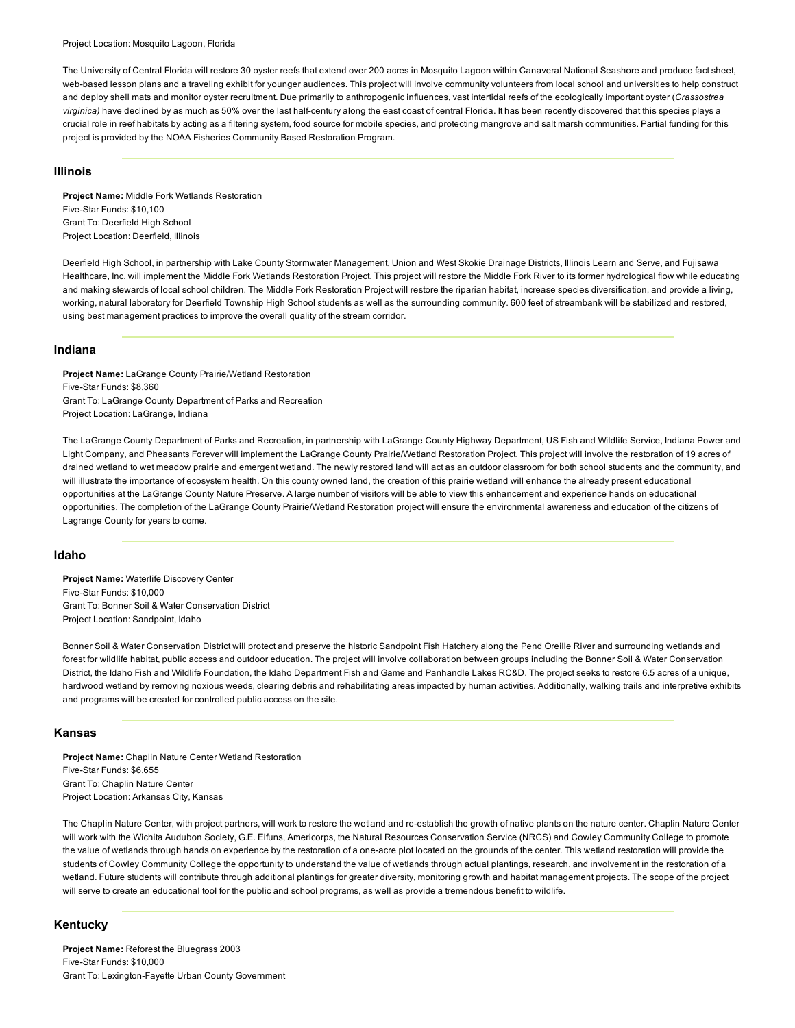The University of Central Florida will restore 30 oyster reefs that extend over 200 acres in Mosquito Lagoon within Canaveral National Seashore and produce fact sheet, web-based lesson plans and a traveling exhibit for younger audiences. This project will involve community volunteers from local school and universities to help construct and deploy shell mats and monitor oyster recruitment. Due primarily to anthropogenic influences, vast intertidal reefs of the ecologically important oyster (*Crassostrea* virginica) have declined by as much as 50% over the last half-century along the east coast of central Florida. It has been recently discovered that this species plays a crucial role in reef habitats by acting as a filtering system, food source for mobile species, and protecting mangrove and salt marsh communities. Partial funding for this project is provided by the NOAA Fisheries Community Based Restoration Program.

## Illinois

Project Name: Middle Fork Wetlands Restoration Five-Star Funds: \$10,100 Grant To: Deerfield High School Project Location: Deerfield, Illinois

Deerfield High School, in partnership with Lake County Stormwater Management, Union and West Skokie Drainage Districts, Illinois Learn and Serve, and Fujisawa Healthcare, Inc. will implement the Middle Fork Wetlands Restoration Project. This project will restore the Middle Fork River to its former hydrological flow while educating and making stewards of local school children. The Middle Fork Restoration Project will restore the riparian habitat, increase species diversification, and provide a living, working, natural laboratory for Deerfield Township High School students as well as the surrounding community. 600 feet of streambank will be stabilized and restored, using best management practices to improve the overall quality of the stream corridor.

#### Indiana

Project Name: LaGrange County Prairie/Wetland Restoration Five-Star Funds: \$8,360 Grant To: LaGrange County Department of Parks and Recreation Project Location: LaGrange, Indiana

The LaGrange County Department of Parks and Recreation, in partnership with LaGrange County Highway Department, US Fish and Wildlife Service, Indiana Power and Light Company, and Pheasants Forever will implement the LaGrange County Prairie/Wetland Restoration Project. This project will involve the restoration of 19 acres of drained wetland to wet meadow prairie and emergent wetland. The newly restored land will act as an outdoor classroom for both school students and the community, and will illustrate the importance of ecosystem health. On this county owned land, the creation of this prairie wetland will enhance the already present educational opportunities at the LaGrange County Nature Preserve. A large number of visitors will be able to view this enhancement and experience hands on educational opportunities. The completion of the LaGrange County Prairie/Wetland Restoration project will ensure the environmental awareness and education of the citizens of Lagrange County for years to come.

# Idaho

Project Name: Waterlife Discovery Center Five-Star Funds: \$10,000 Grant To: Bonner Soil & Water Conservation District Project Location: Sandpoint, Idaho

Bonner Soil & Water Conservation District will protect and preserve the historic Sandpoint Fish Hatchery along the Pend Oreille River and surrounding wetlands and forest for wildlife habitat, public access and outdoor education. The project will involve collaboration between groups including the Bonner Soil & Water Conservation District, the Idaho Fish and Wildlife Foundation, the Idaho Department Fish and Game and Panhandle Lakes RC&D. The project seeks to restore 6.5 acres of a unique, hardwood wetland by removing noxious weeds, clearing debris and rehabilitating areas impacted by human activities. Additionally, walking trails and interpretive exhibits and programs will be created for controlled public access on the site.

#### Kansas

Project Name: Chaplin Nature Center Wetland Restoration Five-Star Funds: \$6,655 Grant To: Chaplin Nature Center Project Location: Arkansas City, Kansas

The Chaplin Nature Center, with project partners, will work to restore the wetland and re-establish the growth of native plants on the nature center. Chaplin Nature Center will work with the Wichita Audubon Society, G.E. Elfuns, Americorps, the Natural Resources Conservation Service (NRCS) and Cowley Community College to promote the value of wetlands through hands on experience by the restoration of a one-acre plot located on the grounds of the center. This wetland restoration will provide the students of Cowley Community College the opportunity to understand the value of wetlands through actual plantings, research, and involvement in the restoration of a wetland. Future students will contribute through additional plantings for greater diversity, monitoring growth and habitat management projects. The scope of the project will serve to create an educational tool for the public and school programs, as well as provide a tremendous benefit to wildlife.

## Kentucky

Project Name: Reforest the Bluegrass 2003 Five-Star Funds: \$10,000 Grant To: Lexington-Fayette Urban County Government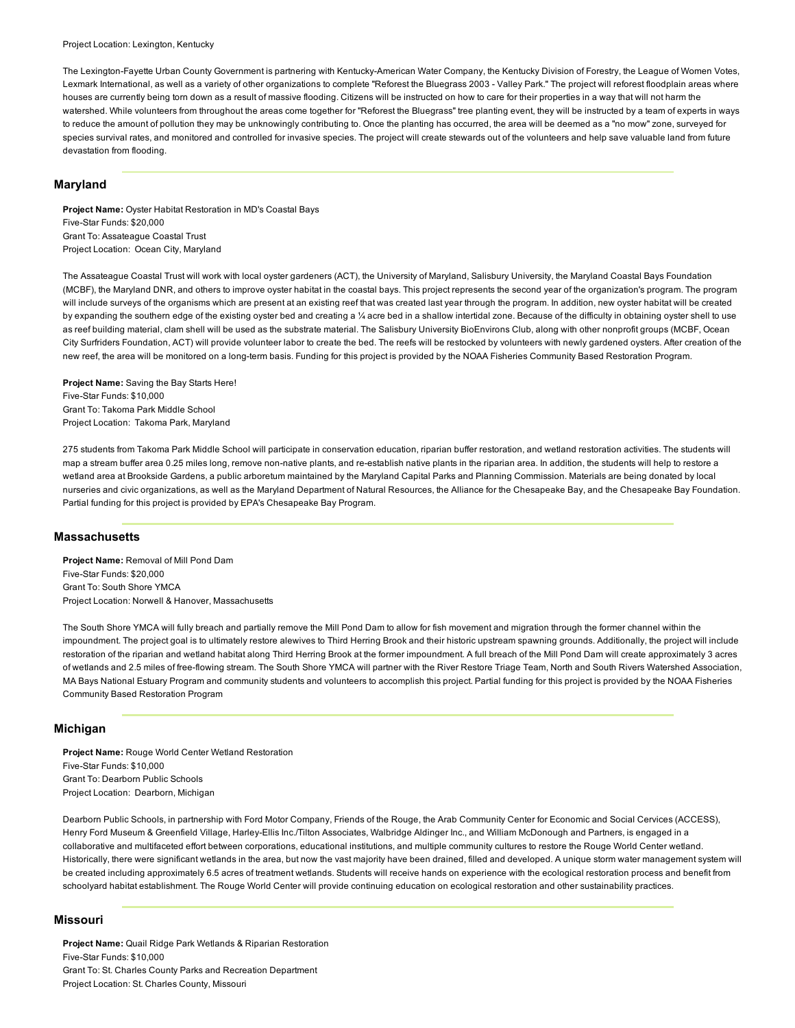The Lexington-Fayette Urban County Government is partnering with Kentucky-American Water Company, the Kentucky Division of Forestry, the League of Women Votes, Lexmark International, as well as a variety of other organizations to complete "Reforest the Bluegrass 2003 - Valley Park." The project will reforest floodplain areas where houses are currently being torn down as a result of massive flooding. Citizens will be instructed on how to care for their properties in a way that will not harm the watershed. While volunteers from throughout the areas come together for "Reforest the Bluegrass" tree planting event, they will be instructed by a team of experts in ways to reduce the amount of pollution they may be unknowingly contributing to. Once the planting has occurred, the area will be deemed as a "no mow" zone, surveyed for species survival rates, and monitored and controlled for invasive species. The project will create stewards out of the volunteers and help save valuable land from future devastation from flooding.

## Maryland

Project Name: Oyster Habitat Restoration in MD's Coastal Bays Five-Star Funds: \$20,000 Grant To: Assateague Coastal Trust Project Location: Ocean City, Maryland

The Assateague Coastal Trust will work with local oyster gardeners (ACT), the University of Maryland, Salisbury University, the Maryland Coastal Bays Foundation (MCBF), the Maryland DNR, and others to improve oyster habitat in the coastal bays. This project represents the second year of the organization's program. The program will include surveys of the organisms which are present at an existing reef that was created last year through the program. In addition, new oyster habitat will be created by expanding the southern edge of the existing oyster bed and creating a 1/4 acre bed in a shallow intertidal zone. Because of the difficulty in obtaining oyster shell to use as reef building material, clam shell will be used as the substrate material. The Salisbury University BioEnvirons Club, along with other nonprofit groups (MCBF, Ocean City Surfriders Foundation, ACT) will provide volunteer labor to create the bed. The reefs will be restocked by volunteers with newly gardened oysters. After creation of the new reef, the area will be monitored on a long-term basis. Funding for this project is provided by the NOAA Fisheries Community Based Restoration Program.

Project Name: Saving the Bay Starts Here! Five-Star Funds: \$10,000 Grant To: Takoma Park Middle School Project Location: Takoma Park, Maryland

275 students from Takoma Park Middle School will participate in conservation education, riparian buffer restoration, and wetland restoration activities. The students will map a stream buffer area 0.25 miles long, remove non-native plants, and re-establish native plants in the riparian area. In addition, the students will help to restore a wetland area at Brookside Gardens, a public arboretum maintained by the Maryland Capital Parks and Planning Commission. Materials are being donated by local nurseries and civic organizations, as well as the Maryland Department of Natural Resources, the Alliance for the Chesapeake Bay, and the Chesapeake Bay Foundation. Partial funding for this project is provided by EPA's Chesapeake Bay Program.

## Massachusetts

Project Name: Removal of Mill Pond Dam Five-Star Funds: \$20,000 Grant To: South Shore YMCA Project Location: Norwell & Hanover, Massachusetts

The South Shore YMCA will fully breach and partially remove the Mill Pond Dam to allow for fish movement and migration through the former channel within the impoundment. The project goal is to ultimately restore alewives to Third Herring Brook and their historic upstream spawning grounds. Additionally, the project will include restoration of the riparian and wetland habitat along Third Herring Brook at the former impoundment. A full breach of the Mill Pond Dam will create approximately 3 acres of wetlands and 2.5 miles of freeflowing stream. The South Shore YMCA will partner with the River Restore Triage Team, North and South Rivers Watershed Association, MA Bays National Estuary Program and community students and volunteers to accomplish this project. Partial funding for this project is provided by the NOAA Fisheries Community Based Restoration Program

#### Michigan

Project Name: Rouge World Center Wetland Restoration Five-Star Funds: \$10,000 Grant To: Dearborn Public Schools Project Location: Dearborn, Michigan

Dearborn Public Schools, in partnership with Ford Motor Company, Friends of the Rouge, the Arab Community Center for Economic and Social Cervices (ACCESS), Henry Ford Museum & Greenfield Village, Harley-Ellis Inc./Tilton Associates, Walbridge Aldinger Inc., and William McDonough and Partners, is engaged in a collaborative and multifaceted effort between corporations, educational institutions, and multiple community cultures to restore the Rouge World Center wetland. Historically, there were significant wetlands in the area, but now the vast majority have been drained, filled and developed. A unique storm water management system will be created including approximately 6.5 acres of treatment wetlands. Students will receive hands on experience with the ecological restoration process and benefit from schoolyard habitat establishment. The Rouge World Center will provide continuing education on ecological restoration and other sustainability practices.

#### Missouri

Project Name: Quail Ridge Park Wetlands & Riparian Restoration Five-Star Funds: \$10,000 Grant To: St. Charles County Parks and Recreation Department Project Location: St. Charles County, Missouri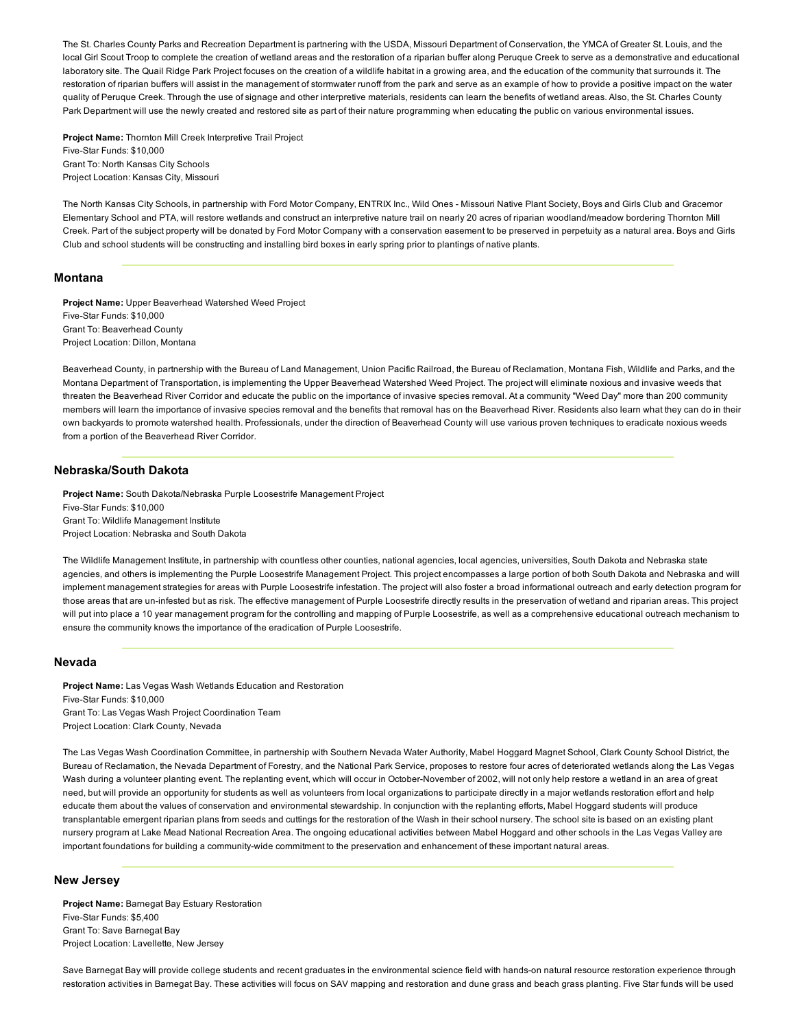The St. Charles County Parks and Recreation Department is partnering with the USDA, Missouri Department of Conservation, the YMCA of Greater St. Louis, and the local Girl Scout Troop to complete the creation of wetland areas and the restoration of a riparian buffer along Peruque Creek to serve as a demonstrative and educational laboratory site. The Quail Ridge Park Project focuses on the creation of a wildlife habitat in a growing area, and the education of the community that surrounds it. The restoration of riparian buffers will assist in the management of stormwater runoff from the park and serve as an example of how to provide a positive impact on the water quality of Peruque Creek. Through the use of signage and other interpretive materials, residents can learn the benefits of wetland areas. Also, the St. Charles County Park Department will use the newly created and restored site as part of their nature programming when educating the public on various environmental issues.

Project Name: Thornton Mill Creek Interpretive Trail Project Five-Star Funds: \$10,000 Grant To: North Kansas City Schools Project Location: Kansas City, Missouri

The North Kansas City Schools, in partnership with Ford Motor Company, ENTRIX Inc., Wild Ones - Missouri Native Plant Society, Boys and Girls Club and Gracemor Elementary School and PTA, will restore wetlands and construct an interpretive nature trail on nearly 20 acres of riparian woodland/meadow bordering Thornton Mill Creek. Part of the subject property will be donated by Ford Motor Company with a conservation easement to be preserved in perpetuity as a natural area. Boys and Girls Club and school students will be constructing and installing bird boxes in early spring prior to plantings of native plants.

#### Montana

Project Name: Upper Beaverhead Watershed Weed Project Five-Star Funds: \$10,000 Grant To: Beaverhead County Project Location: Dillon, Montana

Beaverhead County, in partnership with the Bureau of Land Management, Union Pacific Railroad, the Bureau of Reclamation, Montana Fish, Wildlife and Parks, and the Montana Department of Transportation, is implementing the Upper Beaverhead Watershed Weed Project. The project will eliminate noxious and invasive weeds that threaten the Beaverhead River Corridor and educate the public on the importance of invasive species removal. At a community "Weed Day" more than 200 community members will learn the importance of invasive species removal and the benefits that removal has on the Beaverhead River. Residents also learn what they can do in their own backyards to promote watershed health. Professionals, under the direction of Beaverhead County will use various proven techniques to eradicate noxious weeds from a portion of the Beaverhead River Corridor.

## Nebraska/South Dakota

Project Name: South Dakota/Nebraska Purple Loosestrife Management Project Five-Star Funds: \$10,000 Grant To: Wildlife Management Institute Project Location: Nebraska and South Dakota

The Wildlife Management Institute, in partnership with countless other counties, national agencies, local agencies, universities, South Dakota and Nebraska state agencies, and others is implementing the Purple Loosestrife Management Project. This project encompasses a large portion of both South Dakota and Nebraska and will implement management strategies for areas with Purple Loosestrife infestation. The project will also foster a broad informational outreach and early detection program for those areas that are un-infested but as risk. The effective management of Purple Loosestrife directly results in the preservation of wetland and riparian areas. This project will put into place a 10 year management program for the controlling and mapping of Purple Loosestrife, as well as a comprehensive educational outreach mechanism to ensure the community knows the importance of the eradication of Purple Loosestrife.

## Nevada

Project Name: Las Vegas Wash Wetlands Education and Restoration Five-Star Funds: \$10,000 Grant To: Las Vegas Wash Project Coordination Team Project Location: Clark County, Nevada

The Las Vegas Wash Coordination Committee, in partnership with Southern Nevada Water Authority, Mabel Hoggard Magnet School, Clark County School District, the Bureau of Reclamation, the Nevada Department of Forestry, and the National Park Service, proposes to restore four acres of deteriorated wetlands along the Las Vegas Wash during a volunteer planting event. The replanting event, which will occur in October-November of 2002, will not only help restore a wetland in an area of great need, but will provide an opportunity for students as well as volunteers from local organizations to participate directly in a major wetlands restoration effort and help educate them about the values of conservation and environmental stewardship. In conjunction with the replanting efforts, Mabel Hoggard students will produce transplantable emergent riparian plans from seeds and cuttings for the restoration of the Wash in their school nursery. The school site is based on an existing plant nursery program at Lake Mead National Recreation Area. The ongoing educational activities between Mabel Hoggard and other schools in the Las Vegas Valley are important foundations for building a community-wide commitment to the preservation and enhancement of these important natural areas.

#### New Jersey

Project Name: Barnegat Bay Estuary Restoration Five-Star Funds: \$5,400 Grant To: Save Barnegat Bay Project Location: Lavellette, New Jersey

Save Barnegat Bay will provide college students and recent graduates in the environmental science field with hands-on natural resource restoration experience through restoration activities in Barnegat Bay. These activities will focus on SAV mapping and restoration and dune grass and beach grass planting. Five Star funds will be used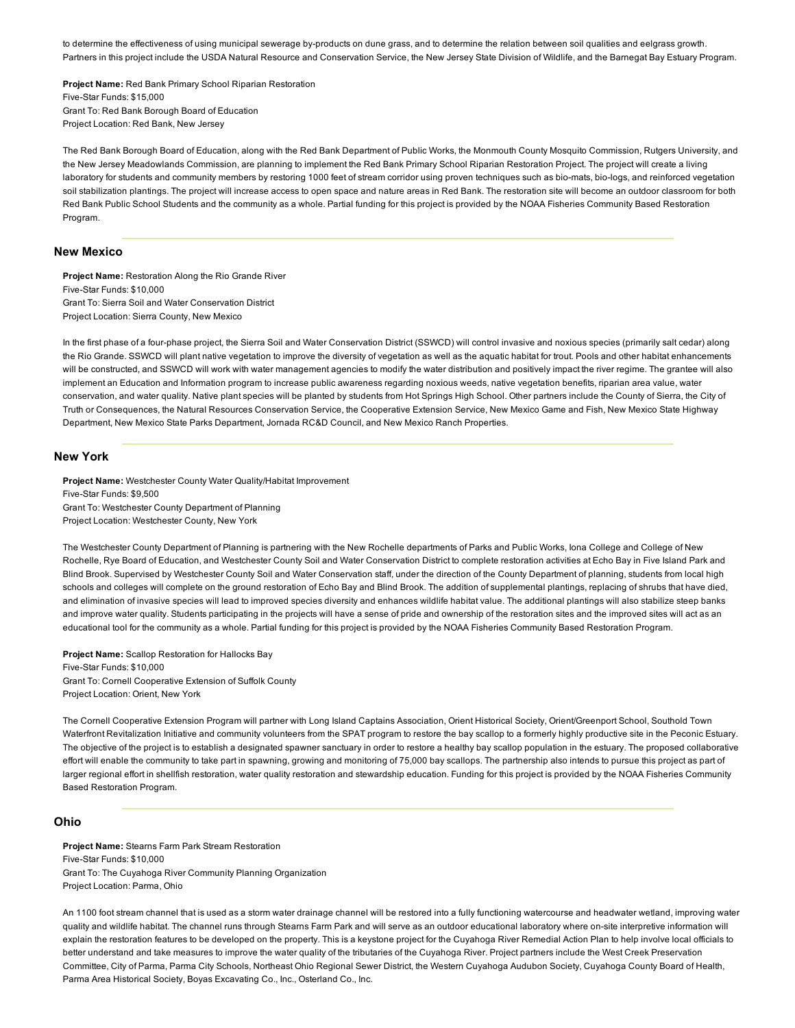to determine the effectiveness of using municipal sewerage by-products on dune grass, and to determine the relation between soil qualities and eelgrass growth. Partners in this project include the USDA Natural Resource and Conservation Service, the New Jersey State Division of Wildlife, and the Barnegat Bay Estuary Program.

Project Name: Red Bank Primary School Riparian Restoration Five-Star Funds: \$15,000 Grant To: Red Bank Borough Board of Education Project Location: Red Bank, New Jersey

The Red Bank Borough Board of Education, along with the Red Bank Department of Public Works, the Monmouth County Mosquito Commission, Rutgers University, and the New Jersey Meadowlands Commission, are planning to implement the Red Bank Primary School Riparian Restoration Project. The project will create a living laboratory for students and community members by restoring 1000 feet of stream corridor using proven techniques such as bio-mats, bio-logs, and reinforced vegetation soil stabilization plantings. The project will increase access to open space and nature areas in Red Bank. The restoration site will become an outdoor classroom for both Red Bank Public School Students and the community as a whole. Partial funding for this project is provided by the NOAA Fisheries Community Based Restoration Program.

## New Mexico

Project Name: Restoration Along the Rio Grande River Five-Star Funds: \$10,000 Grant To: Sierra Soil and Water Conservation District Project Location: Sierra County, New Mexico

In the first phase of a four-phase project, the Sierra Soil and Water Conservation District (SSWCD) will control invasive and noxious species (primarily salt cedar) along the Rio Grande. SSWCD will plant native vegetation to improve the diversity of vegetation as well as the aquatic habitat for trout. Pools and other habitat enhancements will be constructed, and SSWCD will work with water management agencies to modify the water distribution and positively impact the river regime. The grantee will also implement an Education and Information program to increase public awareness regarding noxious weeds, native vegetation benefits, riparian area value, water conservation, and water quality. Native plant species will be planted by students from Hot Springs High School. Other partners include the County of Sierra, the City of Truth or Consequences, the Natural Resources Conservation Service, the Cooperative Extension Service, New Mexico Game and Fish, New Mexico State Highway Department, New Mexico State Parks Department, Jornada RC&D Council, and New Mexico Ranch Properties.

### New York

Project Name: Westchester County Water Quality/Habitat Improvement Five-Star Funds: \$9,500 Grant To: Westchester County Department of Planning Project Location: Westchester County, New York

The Westchester County Department of Planning is partnering with the New Rochelle departments of Parks and Public Works, Iona College and College of New Rochelle, Rye Board of Education, and Westchester County Soil and Water Conservation District to complete restoration activities at Echo Bay in Five Island Park and Blind Brook. Supervised by Westchester County Soil and Water Conservation staff, under the direction of the County Department of planning, students from local high schools and colleges will complete on the ground restoration of Echo Bay and Blind Brook. The addition of supplemental plantings, replacing of shrubs that have died, and elimination of invasive species will lead to improved species diversity and enhances wildlife habitat value. The additional plantings will also stabilize steep banks and improve water quality. Students participating in the projects will have a sense of pride and ownership of the restoration sites and the improved sites will act as an educational tool for the community as a whole. Partial funding for this project is provided by the NOAA Fisheries Community Based Restoration Program.

Project Name: Scallop Restoration for Hallocks Bay Five-Star Funds: \$10,000 Grant To: Cornell Cooperative Extension of Suffolk County Project Location: Orient, New York

The Cornell Cooperative Extension Program will partner with Long Island Captains Association, Orient Historical Society, Orient/Greenport School, Southold Town Waterfront Revitalization Initiative and community volunteers from the SPAT program to restore the bay scallop to a formerly highly productive site in the Peconic Estuary. The objective of the project is to establish a designated spawner sanctuary in order to restore a healthy bay scallop population in the estuary. The proposed collaborative effort will enable the community to take part in spawning, growing and monitoring of 75,000 bay scallops. The partnership also intends to pursue this project as part of larger regional effort in shellfish restoration, water quality restoration and stewardship education. Funding for this project is provided by the NOAA Fisheries Community Based Restoration Program.

#### Ohio

Project Name: Stearns Farm Park Stream Restoration Five-Star Funds: \$10,000 Grant To: The Cuyahoga River Community Planning Organization Project Location: Parma, Ohio

An 1100 foot stream channel that is used as a storm water drainage channel will be restored into a fully functioning watercourse and headwater wetland, improving water quality and wildlife habitat. The channel runs through Stearns Farm Park and will serve as an outdoor educational laboratory where onsite interpretive information will explain the restoration features to be developed on the property. This is a keystone project for the Cuyahoga River Remedial Action Plan to help involve local officials to better understand and take measures to improve the water quality of the tributaries of the Cuyahoga River. Project partners include the West Creek Preservation Committee, City of Parma, Parma City Schools, Northeast Ohio Regional Sewer District, the Western Cuyahoga Audubon Society, Cuyahoga County Board of Health, Parma Area Historical Society, Boyas Excavating Co., Inc., Osterland Co., Inc.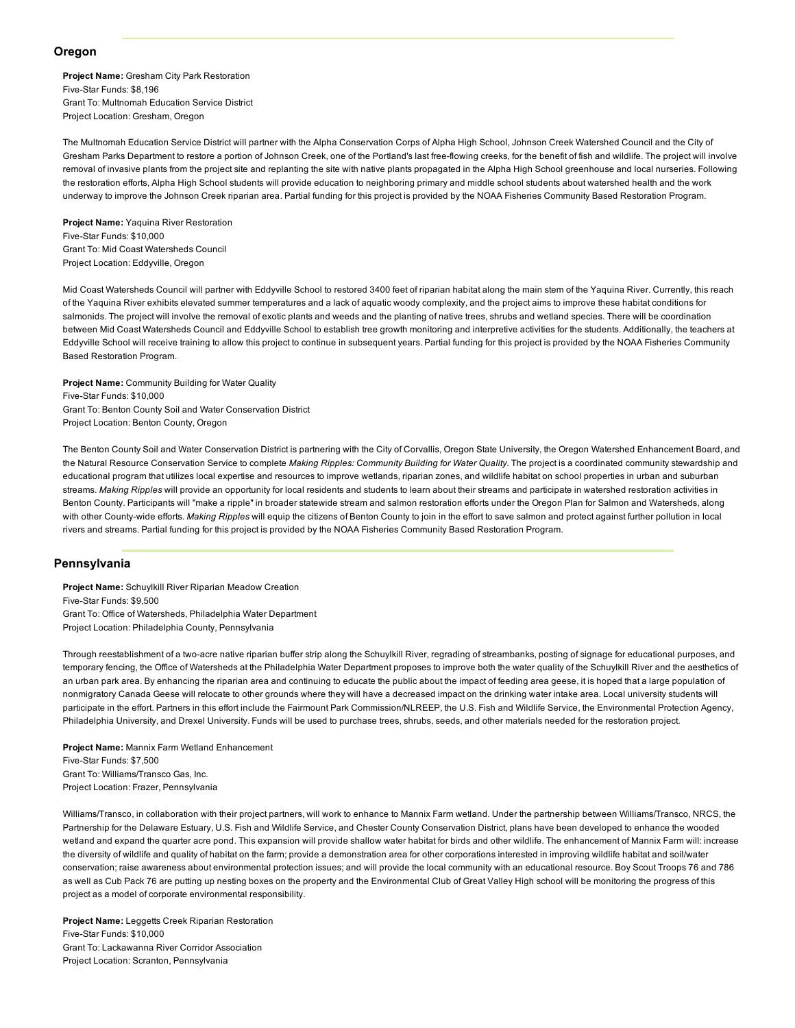## Oregon

Project Name: Gresham City Park Restoration Five-Star Funds: \$8,196 Grant To: Multnomah Education Service District Project Location: Gresham, Oregon

The Multnomah Education Service District will partner with the Alpha Conservation Corps of Alpha High School, Johnson Creek Watershed Council and the City of Gresham Parks Department to restore a portion of Johnson Creek, one of the Portland's last freeflowing creeks, for the benefit of fish and wildlife. The project will involve removal of invasive plants from the project site and replanting the site with native plants propagated in the Alpha High School greenhouse and local nurseries. Following the restoration efforts, Alpha High School students will provide education to neighboring primary and middle school students about watershed health and the work underway to improve the Johnson Creek riparian area. Partial funding for this project is provided by the NOAA Fisheries Community Based Restoration Program.

Project Name: Yaquina River Restoration Five-Star Funds: \$10,000 Grant To: Mid Coast Watersheds Council Project Location: Eddyville, Oregon

Mid Coast Watersheds Council will partner with Eddyville School to restored 3400 feet of riparian habitat along the main stem of the Yaquina River. Currently, this reach of the Yaquina River exhibits elevated summer temperatures and a lack of aquatic woody complexity, and the project aims to improve these habitat conditions for salmonids. The project will involve the removal of exotic plants and weeds and the planting of native trees, shrubs and wetland species. There will be coordination between Mid Coast Watersheds Council and Eddyville School to establish tree growth monitoring and interpretive activities for the students. Additionally, the teachers at Eddyville School will receive training to allow this project to continue in subsequent years. Partial funding for this project is provided by the NOAA Fisheries Community Based Restoration Program.

Project Name: Community Building for Water Quality Five-Star Funds: \$10,000 Grant To: Benton County Soil and Water Conservation District Project Location: Benton County, Oregon

The Benton County Soil and Water Conservation District is partnering with the City of Corvallis, Oregon State University, the Oregon Watershed Enhancement Board, and the Natural Resource Conservation Service to complete *Making Ripples: Community Building for Water Quality*. The project is a coordinated community stewardship and educational program that utilizes local expertise and resources to improve wetlands, riparian zones, and wildlife habitat on school properties in urban and suburban streams. *Making Ripples* will provide an opportunity for local residents and students to learn about their streams and participate in watershed restoration activities in Benton County. Participants will "make a ripple" in broader statewide stream and salmon restoration efforts under the Oregon Plan for Salmon and Watersheds, along with other County-wide efforts. Making Ripples will equip the citizens of Benton County to join in the effort to save salmon and protect against further pollution in local rivers and streams. Partial funding for this project is provided by the NOAA Fisheries Community Based Restoration Program.

## Pennsylvania

Project Name: Schuylkill River Riparian Meadow Creation Five-Star Funds: \$9,500 Grant To: Office of Watersheds, Philadelphia Water Department Project Location: Philadelphia County, Pennsylvania

Through reestablishment of a two-acre native riparian buffer strip along the Schuylkill River, regrading of streambanks, posting of signage for educational purposes, and temporary fencing, the Office of Watersheds at the Philadelphia Water Department proposes to improve both the water quality of the Schuylkill River and the aesthetics of an urban park area. By enhancing the riparian area and continuing to educate the public about the impact of feeding area geese, it is hoped that a large population of nonmigratory Canada Geese will relocate to other grounds where they will have a decreased impact on the drinking water intake area. Local university students will participate in the effort. Partners in this effort include the Fairmount Park Commission/NLREEP, the U.S. Fish and Wildlife Service, the Environmental Protection Agency, Philadelphia University, and Drexel University. Funds will be used to purchase trees, shrubs, seeds, and other materials needed for the restoration project.

Project Name: Mannix Farm Wetland Enhancement Five-Star Funds: \$7,500 Grant To: Williams/Transco Gas, Inc. Project Location: Frazer, Pennsylvania

Williams/Transco, in collaboration with their project partners, will work to enhance to Mannix Farm wetland. Under the partnership between Williams/Transco, NRCS, the Partnership for the Delaware Estuary, U.S. Fish and Wildlife Service, and Chester County Conservation District, plans have been developed to enhance the wooded wetland and expand the quarter acre pond. This expansion will provide shallow water habitat for birds and other wildlife. The enhancement of Mannix Farm will: increase the diversity of wildlife and quality of habitat on the farm; provide a demonstration area for other corporations interested in improving wildlife habitat and soil/water conservation; raise awareness about environmental protection issues; and will provide the local community with an educational resource. Boy Scout Troops 76 and 786 as well as Cub Pack 76 are putting up nesting boxes on the property and the Environmental Club of Great Valley High school will be monitoring the progress of this project as a model of corporate environmental responsibility.

Project Name: Leggetts Creek Riparian Restoration Five-Star Funds: \$10,000 Grant To: Lackawanna River Corridor Association Project Location: Scranton, Pennsylvania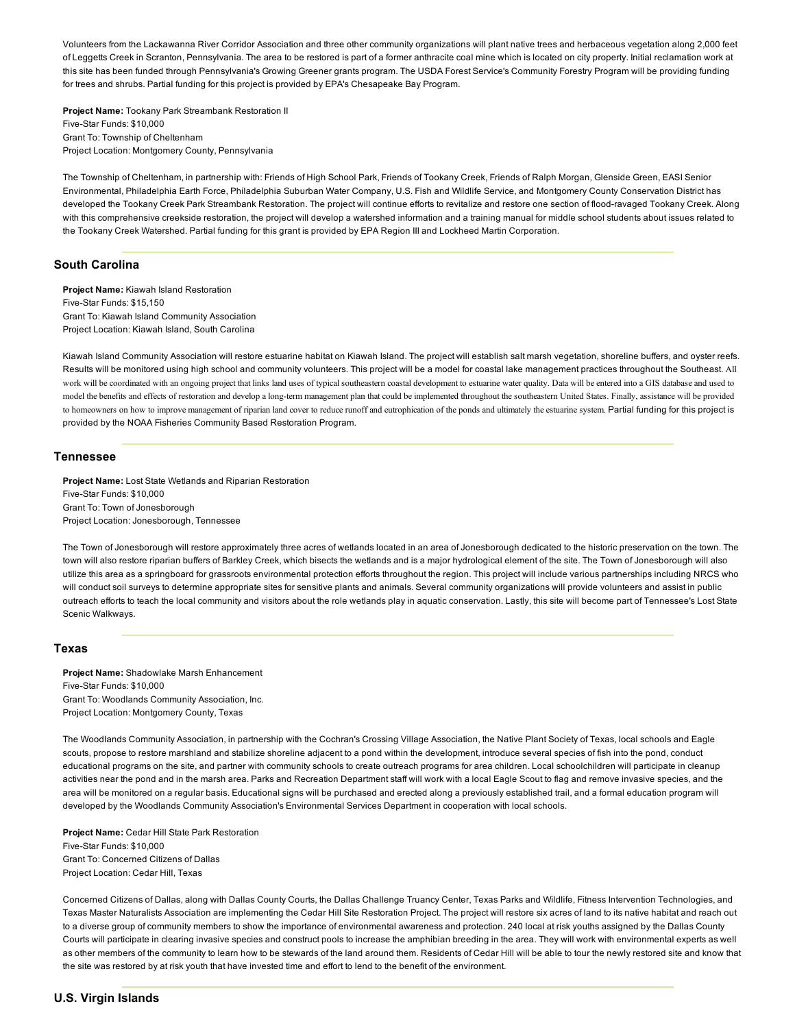Volunteers from the Lackawanna River Corridor Association and three other community organizations will plant native trees and herbaceous vegetation along 2,000 feet of Leggetts Creek in Scranton, Pennsylvania. The area to be restored is part of a former anthracite coal mine which is located on city property. Initial reclamation work at this site has been funded through Pennsylvania's Growing Greener grants program. The USDA Forest Service's Community Forestry Program will be providing funding for trees and shrubs. Partial funding for this project is provided by EPA's Chesapeake Bay Program.

Project Name: Tookany Park Streambank Restoration II Five-Star Funds: \$10,000 Grant To: Township of Cheltenham Project Location: Montgomery County, Pennsylvania

The Township of Cheltenham, in partnership with: Friends of High School Park, Friends of Tookany Creek, Friends of Ralph Morgan, Glenside Green, EASI Senior Environmental, Philadelphia Earth Force, Philadelphia Suburban Water Company, U.S. Fish and Wildlife Service, and Montgomery County Conservation District has developed the Tookany Creek Park Streambank Restoration. The project will continue efforts to revitalize and restore one section of flood-ravaged Tookany Creek. Along with this comprehensive creekside restoration, the project will develop a watershed information and a training manual for middle school students about issues related to the Tookany Creek Watershed. Partial funding for this grant is provided by EPA Region III and Lockheed Martin Corporation.

# South Carolina

Project Name: Kiawah Island Restoration Five-Star Funds: \$15,150 Grant To: Kiawah Island Community Association Project Location: Kiawah Island, South Carolina

Kiawah Island Community Association will restore estuarine habitat on Kiawah Island. The project will establish salt marsh vegetation, shoreline buffers, and oyster reefs. Results will be monitored using high school and community volunteers. This project will be a model for coastal lake management practices throughout the Southeast. All work will be coordinated with an ongoing project that links land uses of typical southeastern coastal development to estuarine water quality. Data will be entered into a GIS database and used to model the benefits and effects of restoration and develop a long-term management plan that could be implemented throughout the southeastern United States. Finally, assistance will be provided to homeowners on how to improve management of riparian land cover to reduce runoff and eutrophication of the ponds and ultimately the estuarine system. Partial funding for this project is provided by the NOAA Fisheries Community Based Restoration Program.

## Tennessee

Project Name: Lost State Wetlands and Riparian Restoration Five-Star Funds: \$10,000 Grant To: Town of Jonesborough Project Location: Jonesborough, Tennessee

The Town of Jonesborough will restore approximately three acres of wetlands located in an area of Jonesborough dedicated to the historic preservation on the town. The town will also restore riparian buffers of Barkley Creek, which bisects the wetlands and is a major hydrological element of the site. The Town of Jonesborough will also utilize this area as a springboard for grassroots environmental protection efforts throughout the region. This project will include various partnerships including NRCS who will conduct soil surveys to determine appropriate sites for sensitive plants and animals. Several community organizations will provide volunteers and assist in public outreach efforts to teach the local community and visitors about the role wetlands play in aquatic conservation. Lastly, this site will become part of Tennessee's Lost State Scenic Walkways.

## Texas

Project Name: Shadowlake Marsh Enhancement Five-Star Funds: \$10,000 Grant To: Woodlands Community Association, Inc. Project Location: Montgomery County, Texas

The Woodlands Community Association, in partnership with the Cochran's Crossing Village Association, the Native Plant Society of Texas, local schools and Eagle scouts, propose to restore marshland and stabilize shoreline adjacent to a pond within the development, introduce several species of fish into the pond, conduct educational programs on the site, and partner with community schools to create outreach programs for area children. Local schoolchildren will participate in cleanup activities near the pond and in the marsh area. Parks and Recreation Department staff will work with a local Eagle Scout to flag and remove invasive species, and the area will be monitored on a regular basis. Educational signs will be purchased and erected along a previously established trail, and a formal education program will developed by the Woodlands Community Association's Environmental Services Department in cooperation with local schools.

Project Name: Cedar Hill State Park Restoration Five-Star Funds: \$10,000 Grant To: Concerned Citizens of Dallas Project Location: Cedar Hill, Texas

Concerned Citizens of Dallas, along with Dallas County Courts, the Dallas Challenge Truancy Center, Texas Parks and Wildlife, Fitness Intervention Technologies, and Texas Master Naturalists Association are implementing the Cedar Hill Site Restoration Project. The project will restore six acres of land to its native habitat and reach out to a diverse group of community members to show the importance of environmental awareness and protection. 240 local at risk youths assigned by the Dallas County Courts will participate in clearing invasive species and construct pools to increase the amphibian breeding in the area. They will work with environmental experts as well as other members of the community to learn how to be stewards of the land around them. Residents of Cedar Hill will be able to tour the newly restored site and know that the site was restored by at risk youth that have invested time and effort to lend to the benefit of the environment.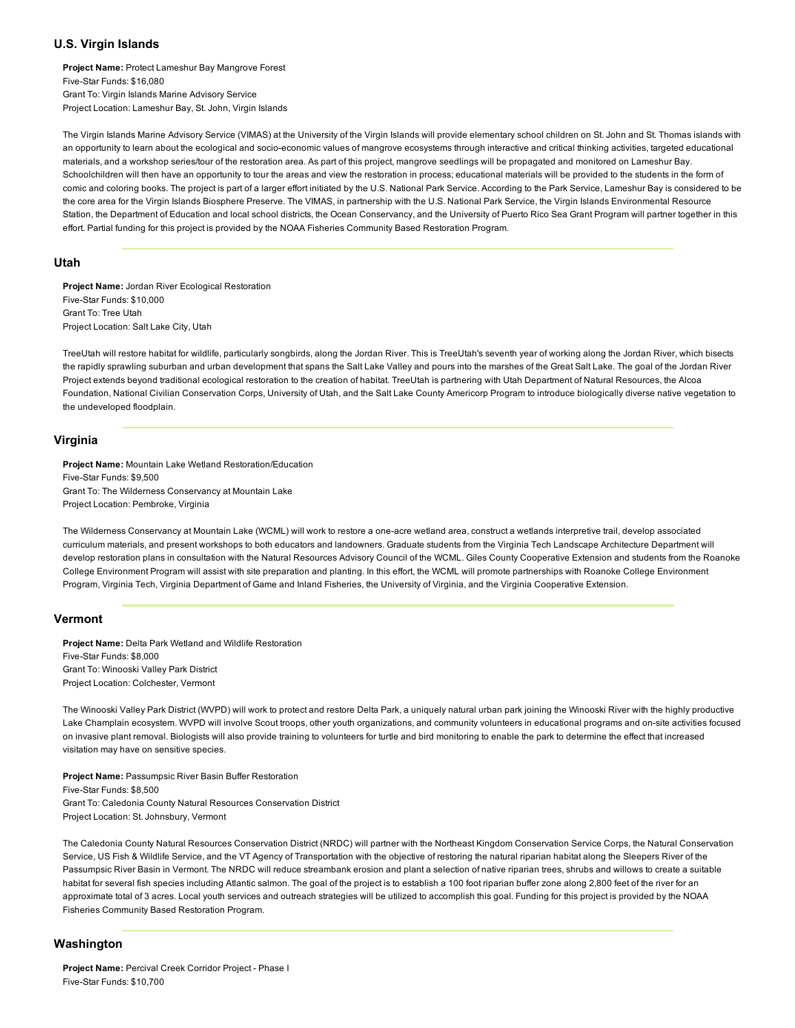# U.S. Virgin Islands

Project Name: Protect Lameshur Bay Mangrove Forest Five-Star Funds: \$16,080 Grant To: Virgin Islands Marine Advisory Service Project Location: Lameshur Bay, St. John, Virgin Islands

The Virgin Islands Marine Advisory Service (VIMAS) at the University of the Virgin Islands will provide elementary school children on St. John and St. Thomas islands with an opportunity to learn about the ecological and socio-economic values of mangrove ecosystems through interactive and critical thinking activities, targeted educational materials, and a workshop series/tour of the restoration area. As part of this project, mangrove seedlings will be propagated and monitored on Lameshur Bay. Schoolchildren will then have an opportunity to tour the areas and view the restoration in process; educational materials will be provided to the students in the form of comic and coloring books. The project is part of a larger effort initiated by the U.S. National Park Service. According to the Park Service, Lameshur Bay is considered to be the core area for the Virgin Islands Biosphere Preserve. The VIMAS, in partnership with the U.S. National Park Service, the Virgin Islands Environmental Resource Station, the Department of Education and local school districts, the Ocean Conservancy, and the University of Puerto Rico Sea Grant Program will partner together in this effort. Partial funding for this project is provided by the NOAA Fisheries Community Based Restoration Program.

#### Utah

Project Name: Jordan River Ecological Restoration Five-Star Funds: \$10,000 Grant To: Tree Utah Project Location: Salt Lake City, Utah

TreeUtah will restore habitat for wildlife, particularly songbirds, along the Jordan River. This is TreeUtah's seventh year of working along the Jordan River, which bisects the rapidly sprawling suburban and urban development that spans the Salt Lake Valley and pours into the marshes of the Great Salt Lake. The goal of the Jordan River Project extends beyond traditional ecological restoration to the creation of habitat. TreeUtah is partnering with Utah Department of Natural Resources, the Alcoa Foundation, National Civilian Conservation Corps, University of Utah, and the Salt Lake County Americorp Program to introduce biologically diverse native vegetation to the undeveloped floodplain.

## Virginia

Project Name: Mountain Lake Wetland Restoration/Education Five-Star Funds: \$9,500 Grant To: The Wilderness Conservancy at Mountain Lake Project Location: Pembroke, Virginia

The Wilderness Conservancy at Mountain Lake (WCML) will work to restore a one-acre wetland area, construct a wetlands interpretive trail, develop associated curriculum materials, and present workshops to both educators and landowners. Graduate students from the Virginia Tech Landscape Architecture Department will develop restoration plans in consultation with the Natural Resources Advisory Council of the WCML. Giles County Cooperative Extension and students from the Roanoke College Environment Program will assist with site preparation and planting. In this effort, the WCML will promote partnerships with Roanoke College Environment Program, Virginia Tech, Virginia Department of Game and Inland Fisheries, the University of Virginia, and the Virginia Cooperative Extension.

## Vermont

Project Name: Delta Park Wetland and Wildlife Restoration Five-Star Funds: \$8,000 Grant To: Winooski Valley Park District Project Location: Colchester, Vermont

The Winooski Valley Park District (WVPD) will work to protect and restore Delta Park, a uniquely natural urban park joining the Winooski River with the highly productive Lake Champlain ecosystem. WVPD will involve Scout troops, other youth organizations, and community volunteers in educational programs and onsite activities focused on invasive plant removal. Biologists will also provide training to volunteers for turtle and bird monitoring to enable the park to determine the effect that increased visitation may have on sensitive species.

Project Name: Passumpsic River Basin Buffer Restoration Five-Star Funds: \$8,500 Grant To: Caledonia County Natural Resources Conservation District Project Location: St. Johnsbury, Vermont

The Caledonia County Natural Resources Conservation District (NRDC) will partner with the Northeast Kingdom Conservation Service Corps, the Natural Conservation Service, US Fish & Wildlife Service, and the VT Agency of Transportation with the objective of restoring the natural riparian habitat along the Sleepers River of the Passumpsic River Basin in Vermont. The NRDC will reduce streambank erosion and plant a selection of native riparian trees, shrubs and willows to create a suitable habitat for several fish species including Atlantic salmon. The goal of the project is to establish a 100 foot riparian buffer zone along 2,800 feet of the river for an approximate total of 3 acres. Local youth services and outreach strategies will be utilized to accomplish this goal. Funding for this project is provided by the NOAA Fisheries Community Based Restoration Program.

# Washington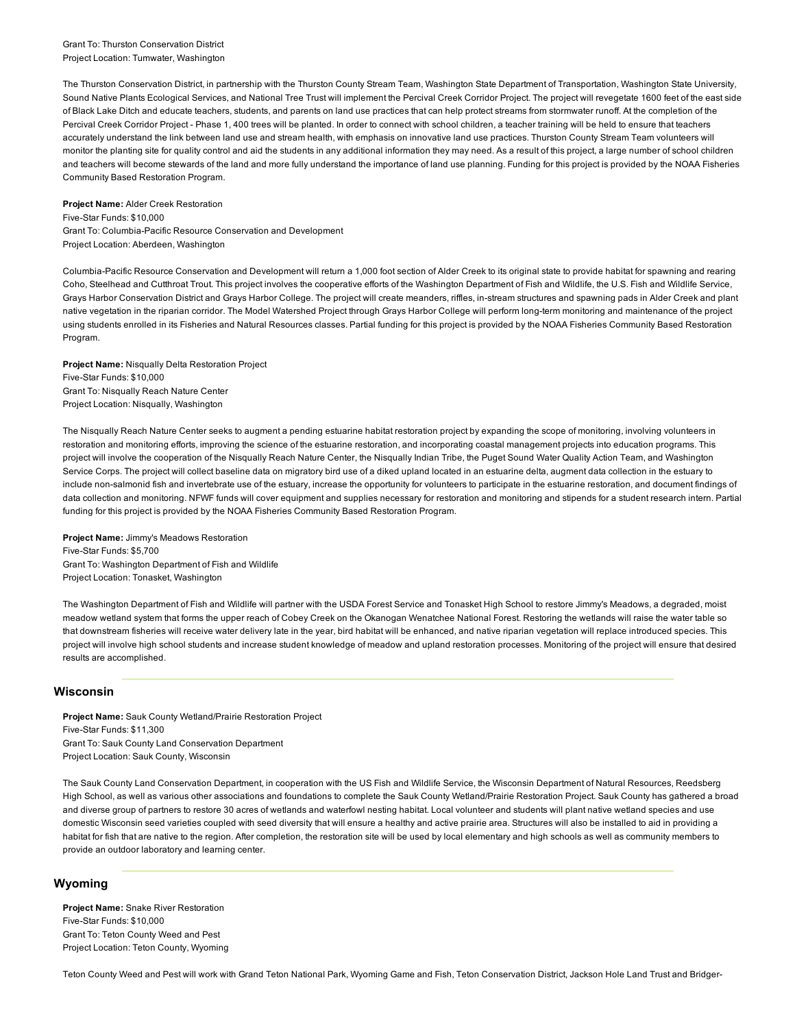#### Grant To: Thurston Conservation District Project Location: Tumwater, Washington

The Thurston Conservation District, in partnership with the Thurston County Stream Team, Washington State Department of Transportation, Washington State University, Sound Native Plants Ecological Services, and National Tree Trust will implement the Percival Creek Corridor Project. The project will revegetate 1600 feet of the east side of Black Lake Ditch and educate teachers, students, and parents on land use practices that can help protect streams from stormwater runoff. At the completion of the Percival Creek Corridor Project - Phase 1, 400 trees will be planted. In order to connect with school children, a teacher training will be held to ensure that teachers accurately understand the link between land use and stream health, with emphasis on innovative land use practices. Thurston County Stream Team volunteers will monitor the planting site for quality control and aid the students in any additional information they may need. As a result of this project, a large number of school children and teachers will become stewards of the land and more fully understand the importance of land use planning. Funding for this project is provided by the NOAA Fisheries Community Based Restoration Program.

#### Project Name: Alder Creek Restoration

Five-Star Funds: \$10,000 Grant To: Columbia-Pacific Resource Conservation and Development Project Location: Aberdeen, Washington

Columbia-Pacific Resource Conservation and Development will return a 1,000 foot section of Alder Creek to its original state to provide habitat for spawning and rearing Coho, Steelhead and Cutthroat Trout. This project involves the cooperative efforts of the Washington Department of Fish and Wildlife, the U.S. Fish and Wildlife Service, Grays Harbor Conservation District and Grays Harbor College. The project will create meanders, riffles, in-stream structures and spawning pads in Alder Creek and plant native vegetation in the riparian corridor. The Model Watershed Project through Grays Harbor College will perform long-term monitoring and maintenance of the project using students enrolled in its Fisheries and Natural Resources classes. Partial funding for this project is provided by the NOAA Fisheries Community Based Restoration Program.

Project Name: Nisqually Delta Restoration Project Five-Star Funds: \$10,000 Grant To: Nisqually Reach Nature Center Project Location: Nisqually, Washington

The Nisqually Reach Nature Center seeks to augment a pending estuarine habitat restoration project by expanding the scope of monitoring, involving volunteers in restoration and monitoring efforts, improving the science of the estuarine restoration, and incorporating coastal management projects into education programs. This project will involve the cooperation of the Nisqually Reach Nature Center, the Nisqually Indian Tribe, the Puget Sound Water Quality Action Team, and Washington Service Corps. The project will collect baseline data on migratory bird use of a diked upland located in an estuarine delta, augment data collection in the estuary to include nonsalmonid fish and invertebrate use of the estuary, increase the opportunity for volunteers to participate in the estuarine restoration, and document findings of data collection and monitoring. NFWF funds will cover equipment and supplies necessary for restoration and monitoring and stipends for a student research intern. Partial funding for this project is provided by the NOAA Fisheries Community Based Restoration Program.

Project Name: Jimmy's Meadows Restoration Five-Star Funds: \$5,700 Grant To: Washington Department of Fish and Wildlife Project Location: Tonasket, Washington

The Washington Department of Fish and Wildlife will partner with the USDA Forest Service and Tonasket High School to restore Jimmy's Meadows, a degraded, moist meadow wetland system that forms the upper reach of Cobey Creek on the Okanogan Wenatchee National Forest. Restoring the wetlands will raise the water table so that downstream fisheries will receive water delivery late in the year, bird habitat will be enhanced, and native riparian vegetation will replace introduced species. This project will involve high school students and increase student knowledge of meadow and upland restoration processes. Monitoring of the project will ensure that desired results are accomplished.

## Wisconsin

Project Name: Sauk County Wetland/Prairie Restoration Project Five-Star Funds: \$11,300 Grant To: Sauk County Land Conservation Department Project Location: Sauk County, Wisconsin

The Sauk County Land Conservation Department, in cooperation with the US Fish and Wildlife Service, the Wisconsin Department of Natural Resources, Reedsberg High School, as well as various other associations and foundations to complete the Sauk County Wetland/Prairie Restoration Project. Sauk County has gathered a broad and diverse group of partners to restore 30 acres of wetlands and waterfowl nesting habitat. Local volunteer and students will plant native wetland species and use domestic Wisconsin seed varieties coupled with seed diversity that will ensure a healthy and active prairie area. Structures will also be installed to aid in providing a habitat for fish that are native to the region. After completion, the restoration site will be used by local elementary and high schools as well as community members to provide an outdoor laboratory and learning center.

# Wyoming

Project Name: Snake River Restoration Five-Star Funds: \$10,000 Grant To: Teton County Weed and Pest Project Location: Teton County, Wyoming

Teton County Weed and Pest will work with Grand Teton National Park, Wyoming Game and Fish, Teton Conservation District, Jackson Hole Land Trust and Bridger